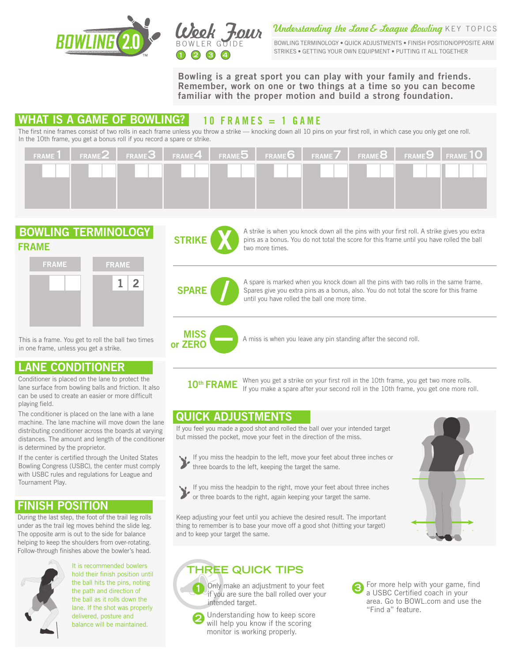



Understanding the Lane & League Bowling KEY TOPICS

BOWLING TERMINOLOGY . QUICK ADJUSTMENTS . FINISH POSITION/OPPOSITE AR STRIKES • GETTING YOUR OWN EQUIPMENT • PUTTING IT ALL TOGETHER

Bowling is a great sport you can play with your family and friends. Remember, work on one or two things at a time so you can become familiar with the proper motion and build a strong foundation.

## WHAT IS A GAME OF BOWLING?  $\vert$  10 FRAMES = 1 GAME

The first nine frames consist of two rolls in each frame unless you throw a strike — knocking down all 10 pins on your first roll, in which case you only get one roll. In the 10th frame, you get a bonus roll if you record a spare or strike.

| FRAME 1   FRAME $2$   FRAME $3$   FRAME $4$   FRAME $5$   FRAME $6$   FRAME $7$   FRAME $8$   FRAME $9$   FRAME $10$ |  |  |  |  |
|----------------------------------------------------------------------------------------------------------------------|--|--|--|--|
|                                                                                                                      |  |  |  |  |
|                                                                                                                      |  |  |  |  |
|                                                                                                                      |  |  |  |  |

### BOWLING TERMINOLOGY FRAME



This is a frame. You get to roll the ball two times in one frame, unless you get a strike.

## LANE CONDITIONER

Conditioner is placed on the lane to protect the lane surface from bowling balls and friction. It also can be used to create an easier or more difficult playing field.

The conditioner is placed on the lane with a lane machine. The lane machine will move down the lane distributing conditioner across the boards at varying distances. The amount and length of the conditioner is determined by the proprietor.

If the center is certified through the United States Bowling Congress (USBC), the center must comply with USBC rules and regulations for League and Tournament Play.

## FINISH POSITION

During the last step, the foot of the trail leg rolls under as the trail leg moves behind the slide leg. The opposite arm is out to the side for balance helping to keep the shoulders from over-rotating. Follow-through finishes above the bowler's head.



It is recommended bowlers hold their finish position until the ball hits the pins, noting the path and direction of the ball as it rolls down the lane. If the shot was properly delivered, posture and balance will be maintained.



A strike is when you knock down all the pins with your first roll. A strike gives you extra pins as a bonus. You do not total the score for this frame until you have rolled the ball two more times.



A spare is marked when you knock down all the pins with two rolls in the same frame. Spares give you extra pins as a bonus, also. You do not total the score for this frame until you have rolled the ball one more time.



MISS **A** miss is when you leave any pin standing after the second roll.

When you get a strike on your first roll in the 10th frame, you get two more rolls. If you make a spare after your second roll in the 10th frame, you get one more roll. 10<sup>th</sup> FRAME

## QUICK ADJUSTMENTS

If you feel you made a good shot and rolled the ball over your intended target but missed the pocket, move your feet in the direction of the miss.





If you miss the headpin to the right, move your feet about three inches or three boards to the right, again keeping your target the same.

Keep adjusting your feet until you achieve the desired result. The important thing to remember is to base your move off a good shot (hitting your target) and to keep your target the same.



## **THREE QUICK TIPS**



 Only make an adjustment to your feet if you are sure the ball rolled over your intended target.

Understanding how to keep score will help you know if the scoring monitor is working properly.

For more help with your game, find a USBC Certified coach in your area. Go to BOWL.com and use the "Find a" feature.